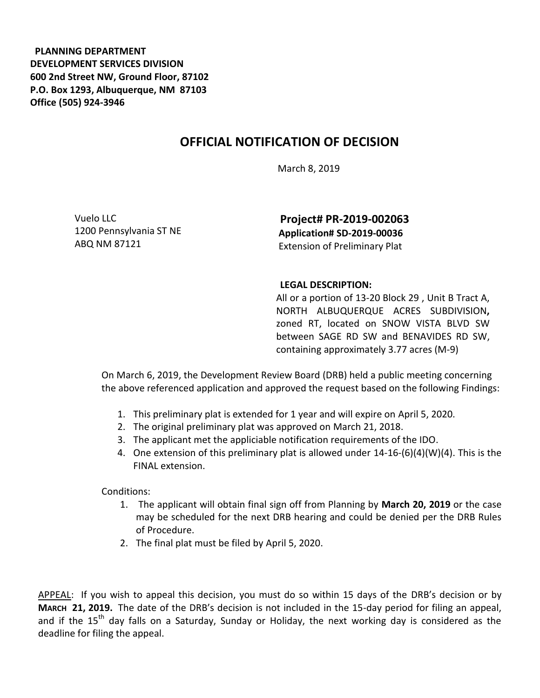**PLANNING DEPARTMENT DEVELOPMENT SERVICES DIVISION 600 2nd Street NW, Ground Floor, 87102 P.O. Box 1293, Albuquerque, NM 87103 Office (505) 924-3946** 

## **OFFICIAL NOTIFICATION OF DECISION**

March 8, 2019

Vuelo LLC 1200 Pennsylvania ST NE ABQ NM 87121

**Project# PR-2019-002063 Application# SD-2019-00036** Extension of Preliminary Plat

## **LEGAL DESCRIPTION:**

All or a portion of 13-20 Block 29 , Unit B Tract A, NORTH ALBUQUERQUE ACRES SUBDIVISION**,**  zoned RT, located on SNOW VISTA BLVD SW between SAGE RD SW and BENAVIDES RD SW, containing approximately 3.77 acres (M-9)

On March 6, 2019, the Development Review Board (DRB) held a public meeting concerning the above referenced application and approved the request based on the following Findings:

- 1. This preliminary plat is extended for 1 year and will expire on April 5, 2020.
- 2. The original preliminary plat was approved on March 21, 2018.
- 3. The applicant met the appliciable notification requirements of the IDO.
- 4. One extension of this preliminary plat is allowed under 14-16-(6)(4)(W)(4). This is the FINAL extension.

Conditions:

- 1. The applicant will obtain final sign off from Planning by **March 20, 2019** or the case may be scheduled for the next DRB hearing and could be denied per the DRB Rules of Procedure.
- 2. The final plat must be filed by April 5, 2020.

APPEAL: If you wish to appeal this decision, you must do so within 15 days of the DRB's decision or by **MARCH 21, 2019.** The date of the DRB's decision is not included in the 15-day period for filing an appeal, and if the  $15<sup>th</sup>$  day falls on a Saturday, Sunday or Holiday, the next working day is considered as the deadline for filing the appeal.